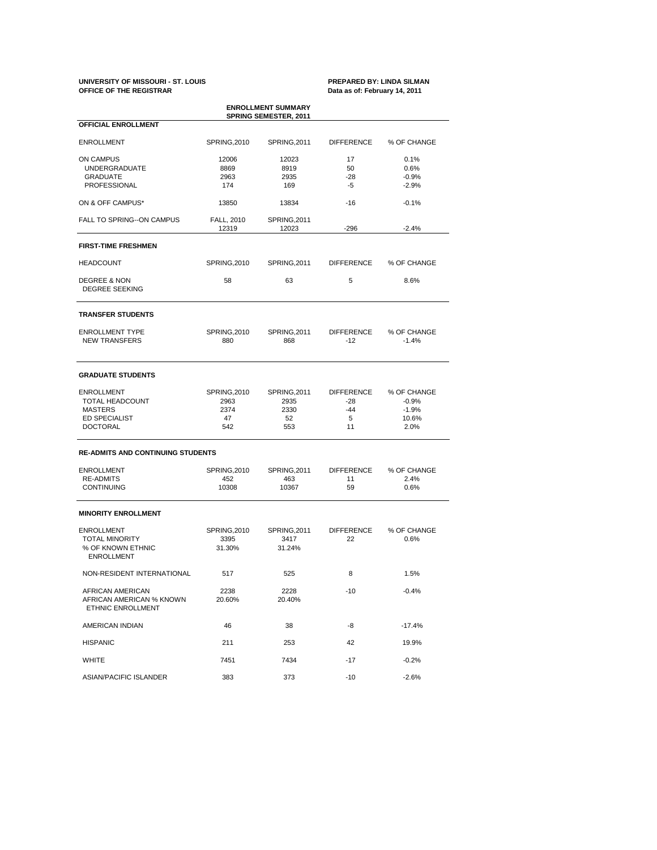### **UNIVERSITY OF MISSOURI - ST. LOUIS PREPARED BY: LINDA SILMAN OFFICE OF THE REGISTRAR Data as of: February 14, 2011**

| <b>ENROLLMENT SUMMARY</b><br><b>SPRING SEMESTER, 2011</b>                                         |                                           |                                           |                                                |                                                    |  |  |  |  |  |
|---------------------------------------------------------------------------------------------------|-------------------------------------------|-------------------------------------------|------------------------------------------------|----------------------------------------------------|--|--|--|--|--|
| <b>OFFICIAL ENROLLMENT</b>                                                                        |                                           |                                           |                                                |                                                    |  |  |  |  |  |
| <b>ENROLLMENT</b>                                                                                 | <b>SPRING, 2010</b>                       | SPRING, 2011                              | <b>DIFFERENCE</b>                              | % OF CHANGE                                        |  |  |  |  |  |
| ON CAMPUS<br><b>UNDERGRADUATE</b><br><b>GRADUATE</b><br>PROFESSIONAL                              | 12006<br>8869<br>2963<br>174              | 12023<br>8919<br>2935<br>169              | 17<br>50<br>$-28$<br>-5                        | 0.1%<br>0.6%<br>$-0.9%$<br>$-2.9%$                 |  |  |  |  |  |
| ON & OFF CAMPUS*                                                                                  | 13850                                     | 13834                                     | -16                                            | $-0.1%$                                            |  |  |  |  |  |
| <b>FALL TO SPRING--ON CAMPUS</b>                                                                  | FALL, 2010<br>12319                       | SPRING, 2011<br>12023                     | -296                                           | $-2.4%$                                            |  |  |  |  |  |
| <b>FIRST-TIME FRESHMEN</b>                                                                        |                                           |                                           |                                                |                                                    |  |  |  |  |  |
| <b>HEADCOUNT</b>                                                                                  | <b>SPRING, 2010</b>                       | SPRING, 2011                              | <b>DIFFERENCE</b>                              | % OF CHANGE                                        |  |  |  |  |  |
| <b>DEGREE &amp; NON</b><br><b>DEGREE SEEKING</b>                                                  | 58                                        | 63                                        | 5                                              | 8.6%                                               |  |  |  |  |  |
| <b>TRANSFER STUDENTS</b>                                                                          |                                           |                                           |                                                |                                                    |  |  |  |  |  |
| <b>ENROLLMENT TYPE</b><br><b>NEW TRANSFERS</b>                                                    | <b>SPRING, 2010</b><br>880                | SPRING, 2011<br>868                       | <b>DIFFERENCE</b><br>$-12$                     | % OF CHANGE<br>$-1.4%$                             |  |  |  |  |  |
| <b>GRADUATE STUDENTS</b>                                                                          |                                           |                                           |                                                |                                                    |  |  |  |  |  |
| <b>ENROLLMENT</b><br>TOTAL HEADCOUNT<br><b>MASTERS</b><br><b>ED SPECIALIST</b><br><b>DOCTORAL</b> | SPRING, 2010<br>2963<br>2374<br>47<br>542 | SPRING, 2011<br>2935<br>2330<br>52<br>553 | <b>DIFFERENCE</b><br>$-28$<br>$-44$<br>5<br>11 | % OF CHANGE<br>$-0.9%$<br>$-1.9%$<br>10.6%<br>2.0% |  |  |  |  |  |
| <b>RE-ADMITS AND CONTINUING STUDENTS</b>                                                          |                                           |                                           |                                                |                                                    |  |  |  |  |  |
| <b>ENROLLMENT</b><br><b>RE-ADMITS</b><br><b>CONTINUING</b>                                        | SPRING, 2010<br>452<br>10308              | SPRING, 2011<br>463<br>10367              | <b>DIFFERENCE</b><br>11<br>59                  | % OF CHANGE<br>2.4%<br>0.6%                        |  |  |  |  |  |
| <b>MINORITY ENROLLMENT</b>                                                                        |                                           |                                           |                                                |                                                    |  |  |  |  |  |
| <b>ENROLLMENT</b><br><b>TOTAL MINORITY</b><br>% OF KNOWN ETHNIC<br><b>ENROLLMENT</b>              | SPRING, 2010<br>3395<br>31.30%            | SPRING, 2011<br>3417<br>31.24%            | <b>DIFFERENCE</b><br>22                        | % OF CHANGE<br>0.6%                                |  |  |  |  |  |
| NON-RESIDENT INTERNATIONAL                                                                        | 517                                       | 525                                       | 8                                              | 1.5%                                               |  |  |  |  |  |
| AFRICAN AMERICAN<br>AFRICAN AMERICAN % KNOWN<br>ETHNIC ENROLLMENT                                 | 2238<br>20.60%                            | 2228<br>20.40%                            | -10                                            | $-0.4%$                                            |  |  |  |  |  |
| AMERICAN INDIAN                                                                                   | 46                                        | 38                                        | -8                                             | $-17.4%$                                           |  |  |  |  |  |
| <b>HISPANIC</b>                                                                                   | 211                                       | 253                                       | 42                                             | 19.9%                                              |  |  |  |  |  |
| WHITE                                                                                             | 7451                                      | 7434                                      | -17                                            | $-0.2%$                                            |  |  |  |  |  |
| ASIAN/PACIFIC ISLANDER                                                                            | 383                                       | 373                                       | $-10$                                          | $-2.6%$                                            |  |  |  |  |  |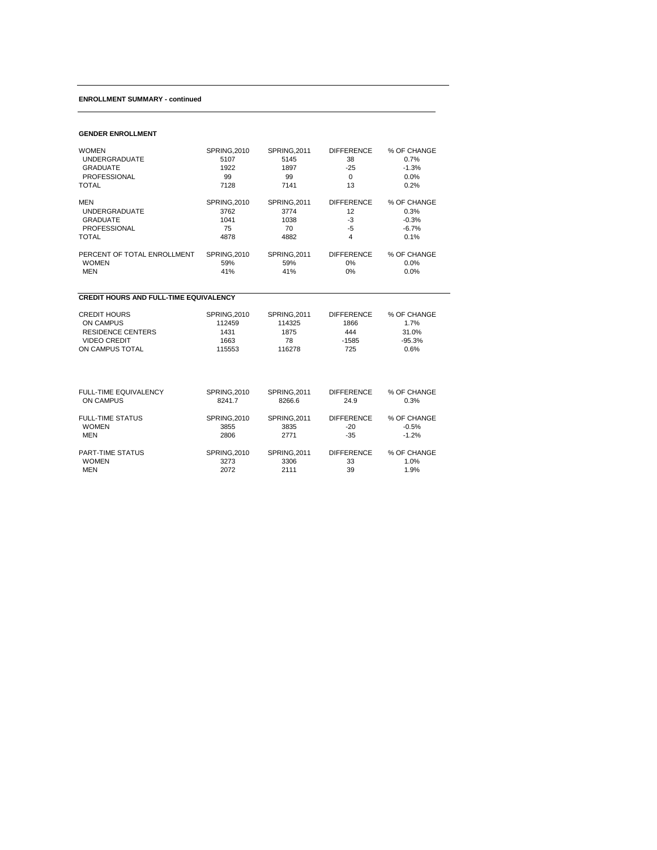## **ENROLLMENT SUMMARY - continued**

## **GENDER ENROLLMENT**

| <b>WOMEN</b>                                  | <b>SPRING, 2010</b> | <b>SPRING.2011</b>  | <b>DIFFERENCE</b>       | % OF CHANGE |
|-----------------------------------------------|---------------------|---------------------|-------------------------|-------------|
| <b>UNDERGRADUATE</b>                          | 5107                | 5145                | 38                      | 0.7%        |
| <b>GRADUATE</b>                               | 1922                | 1897                | $-25$                   | $-1.3%$     |
| <b>PROFESSIONAL</b>                           | 99                  | 99                  | $\Omega$                | 0.0%        |
| <b>TOTAL</b>                                  | 7128                | 7141                | 13                      | 0.2%        |
| <b>MEN</b>                                    | <b>SPRING, 2010</b> | <b>SPRING, 2011</b> | <b>DIFFERENCE</b>       | % OF CHANGE |
| <b>UNDERGRADUATE</b>                          | 3762                | 3774                | 12                      | 0.3%        |
| <b>GRADUATE</b>                               | 1041                | 1038                | $-3$                    | $-0.3%$     |
| <b>PROFESSIONAL</b>                           | 75                  | 70                  | $-5$                    | $-6.7%$     |
| <b>TOTAL</b>                                  | 4878                | 4882                | $\overline{\mathbf{4}}$ | 0.1%        |
| PERCENT OF TOTAL ENROLLMENT                   | <b>SPRING, 2010</b> | <b>SPRING, 2011</b> | <b>DIFFERENCE</b>       | % OF CHANGE |
| <b>WOMEN</b>                                  | 59%                 | 59%                 | $0\%$                   | 0.0%        |
| <b>MEN</b>                                    | 41%                 | 41%                 | 0%                      | 0.0%        |
| <b>CREDIT HOURS AND FULL-TIME EQUIVALENCY</b> |                     |                     |                         |             |
| <b>CREDIT HOURS</b>                           | <b>SPRING, 2010</b> | SPRING, 2011        | <b>DIFFERENCE</b>       | % OF CHANGE |
| <b>ON CAMPUS</b>                              | 112459              | 114325              | 1866                    | 1.7%        |
| <b>RESIDENCE CENTERS</b>                      | 1431                | 1875                | 444                     | 31.0%       |
| <b>VIDEO CREDIT</b>                           | 1663                | 78                  | $-1585$                 | $-95.3%$    |
| ON CAMPUS TOTAL                               | 115553              | 116278              | 725                     | 0.6%        |
| FULL-TIME EQUIVALENCY                         | <b>SPRING.2010</b>  | <b>SPRING.2011</b>  | <b>DIFFERENCE</b>       | % OF CHANGE |
| <b>ON CAMPUS</b>                              | 8241.7              | 8266.6              | 24.9                    | 0.3%        |
| <b>FULL-TIME STATUS</b>                       | <b>SPRING, 2010</b> | SPRING, 2011        | <b>DIFFERENCE</b>       | % OF CHANGE |
| <b>WOMEN</b>                                  | 3855                | 3835                | $-20$                   | $-0.5%$     |
| <b>MEN</b>                                    | 2806                | 2771                | $-35$                   | $-1.2%$     |
| PART-TIME STATUS                              | <b>SPRING, 2010</b> | <b>SPRING, 2011</b> | <b>DIFFERENCE</b>       | % OF CHANGE |
| <b>WOMEN</b>                                  | 3273                | 3306                | 33                      | 1.0%        |
| <b>MEN</b>                                    | 2072                | 2111                | 39                      | 1.9%        |